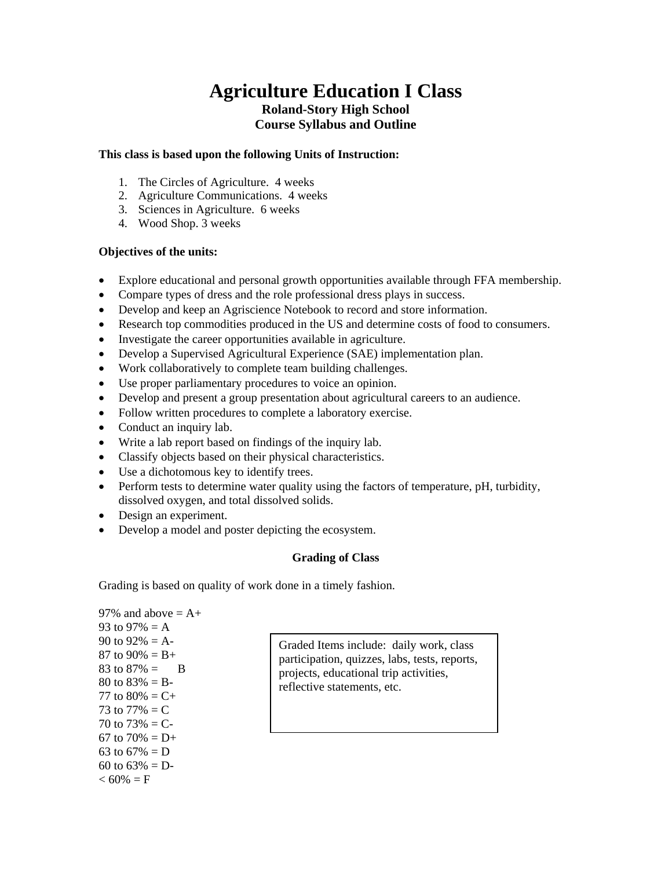# **Agriculture Education I Class Roland-Story High School Course Syllabus and Outline**

#### **This class is based upon the following Units of Instruction:**

- 1. The Circles of Agriculture. 4 weeks
- 2. Agriculture Communications. 4 weeks
- 3. Sciences in Agriculture. 6 weeks
- 4. Wood Shop. 3 weeks

### **Objectives of the units:**

- Explore educational and personal growth opportunities available through FFA membership.
- Compare types of dress and the role professional dress plays in success.
- Develop and keep an Agriscience Notebook to record and store information.
- Research top commodities produced in the US and determine costs of food to consumers.
- Investigate the career opportunities available in agriculture.
- Develop a Supervised Agricultural Experience (SAE) implementation plan.
- Work collaboratively to complete team building challenges.
- Use proper parliamentary procedures to voice an opinion.
- Develop and present a group presentation about agricultural careers to an audience.
- Follow written procedures to complete a laboratory exercise.
- Conduct an inquiry lab.
- Write a lab report based on findings of the inquiry lab.
- Classify objects based on their physical characteristics.
- Use a dichotomous key to identify trees.
- Perform tests to determine water quality using the factors of temperature, pH, turbidity, dissolved oxygen, and total dissolved solids.
- Design an experiment.
- Develop a model and poster depicting the ecosystem.

### **Grading of Class**

Grading is based on quality of work done in a timely fashion.

97% and above  $= A +$ 93 to  $97\% = A$ 90 to  $92\% = A$ -87 to  $90\% = B +$ 83 to  $87\% =$  B 80 to  $83\% = B$ -77 to  $80\% = C +$ 73 to  $77\% = C$ 70 to  $73\% = C$ -67 to  $70\% = D +$ 63 to  $67\% = D$ 60 to  $63\% = D$ - $< 60\% = F$ 

Graded Items include: daily work, class participation, quizzes, labs, tests, reports, projects, educational trip activities, reflective statements, etc.